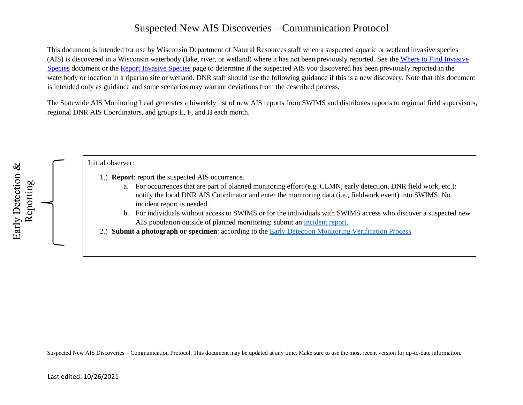## Suspected New AIS Discoveries – Communication Protocol

This document is intended for use by Wisconsin Department of Natural Resources staff when a suspected aquatic or wetland invasive species (AIS) is discovered in a Wisconsin waterbody (lake, river, or wetland) where it has not been previously reported. See the [Where to Find Invasive](https://dnrx.wisconsin.gov/swims/downloadDocument.do?id=126471317) [Species](https://dnrx.wisconsin.gov/swims/downloadDocument.do?id=126471317) document or the [Report Invasive Species](http://dnr.wi.gov/topic/Invasives/report.html) page to determine if the suspected AIS you discovered has been previously reported in the waterbody or location in a riparian site or wetland. DNR staff should use the following guidance if this is a new discovery. Note that this document is intended only as guidance and some scenarios may warrant deviations from the described process.

The Statewide AIS Monitoring Lead generates a biweekly list of new AIS reports from SWIMS and distributes reports to regional field supervisors, regional DNR AIS Coordinators, and groups E, F, and H each month.



Suspected New AIS Discoveries – Communication Protocol. This document may be updated at any time. Make sure to use the most recent version for up-to-date information.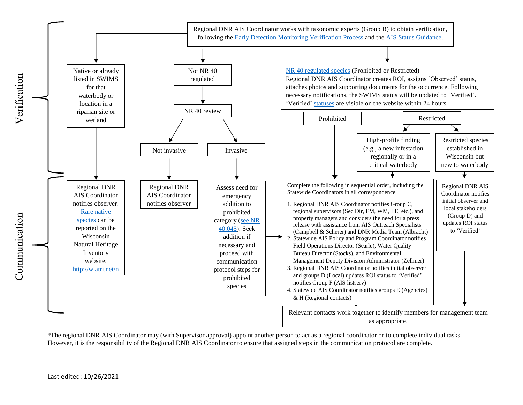

\*The regional DNR AIS Coordinator may (with Supervisor approval) appoint another person to act as a regional coordinator or to complete individual tasks. However, it is the responsibility of the Regional DNR AIS Coordinator to ensure that assigned steps in the communication protocol are complete.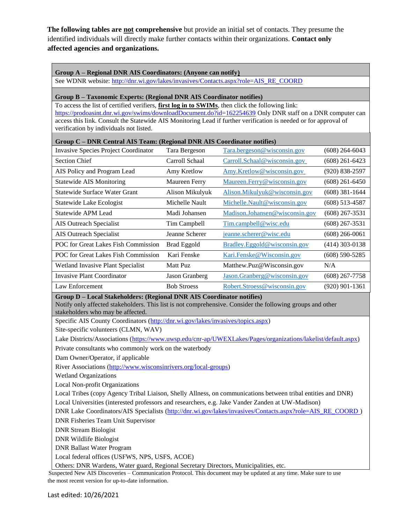**The following tables are not comprehensive** but provide an initial set of contacts. They presume the identified individuals will directly make further contacts within their organizations. **Contact only affected agencies and organizations.** 

## **Group A – Regional DNR AIS Coordinators: (Anyone can notify)**

See WDNR website[:](http://dnr.wi.gov/lakes/invasives/Contacts.aspx?role=AIS_RE_COORD) [http://dnr.wi.gov/lakes/invasives/Contacts.aspx?role=AIS\\_RE\\_COORD](http://dnr.wi.gov/lakes/invasives/Contacts.aspx?role=AIS_RE_COORD)

## **Group B – Taxonomic Experts: (Regional DNR AIS Coordinator notifies)**

To access the list of certified verifiers, **first log in to SWIMs**, then click the following link: <https://prodoasint.dnr.wi.gov/swims/downloadDocument.do?id=162254639> Only DNR staff on a DNR computer can access this link. Consult the Statewide AIS Monitoring Lead if further verification is needed or for approval of verification by individuals not listed.

| Group C – DNR Central AIS Team: (Regional DNR AIS Coordinator notifies)                                                                                                                                                  |                                                     |                                |                    |  |  |
|--------------------------------------------------------------------------------------------------------------------------------------------------------------------------------------------------------------------------|-----------------------------------------------------|--------------------------------|--------------------|--|--|
| Invasive Species Project Coordinator                                                                                                                                                                                     | Tara Bergeson<br><u>Tara.bergeson@wisconsin.gov</u> |                                | (608) 264-6043     |  |  |
| <b>Section Chief</b>                                                                                                                                                                                                     | Carroll Schaal                                      | Carroll.Schaal@wisconsin.gov   | $(608)$ 261-6423   |  |  |
| AIS Policy and Program Lead                                                                                                                                                                                              | Amy Kretlow                                         | Amy.Kretlow@wisconsin.gov      | $(920) 838 - 2597$ |  |  |
| <b>Statewide AIS Monitoring</b>                                                                                                                                                                                          | Maureen Ferry                                       | Maureen.Ferry@wisconsin.gov    | (608) 261-6450     |  |  |
| Statewide Surface Water Grant                                                                                                                                                                                            | Alison Mikulyuk                                     | Alison.Mikulyuk@wisconsin.gov  | $(608)$ 381-1644   |  |  |
| Statewide Lake Ecologist                                                                                                                                                                                                 | Michelle Nault                                      | Michelle.Nault@wisconsin.gov   | $(608)$ 513-4587   |  |  |
| Statewide APM Lead                                                                                                                                                                                                       | Madi Johansen                                       | Madison.Johansen@wisconsin.gov | $(608)$ 267-3531   |  |  |
| AIS Outreach Specialist                                                                                                                                                                                                  | Tim Campbell                                        | Tim.campbell@wisc.edu          | $(608)$ 267-3531   |  |  |
| <b>AIS Outreach Specialist</b>                                                                                                                                                                                           | Jeanne Scherer                                      | jeanne.scherer@wisc.edu        | $(608)$ 266-0061   |  |  |
| POC for Great Lakes Fish Commission                                                                                                                                                                                      | Brad Eggold                                         | Bradley.Eggold@wisconsin.gov   | (414) 303-0138     |  |  |
| POC for Great Lakes Fish Commission                                                                                                                                                                                      | Kari Fenske                                         | Kari.Fenske@Wisconsin.gov      | $(608)$ 590-5285   |  |  |
| Wetland Invasive Plant Specialist                                                                                                                                                                                        | Matt Puz                                            | Matthew.Puz@Wisconsin.gov      | N/A                |  |  |
| <b>Invasive Plant Coordinator</b>                                                                                                                                                                                        | Jason Granberg                                      | Jason.Granberg@wisconsin.gov   | $(608)$ 267-7758   |  |  |
| Law Enforcement                                                                                                                                                                                                          | <b>Bob Stroess</b>                                  | Robert.Stroess@wisconsin.gov   | $(920)$ 901-1361   |  |  |
| Group D - Local Stakeholders: (Regional DNR AIS Coordinator notifies)<br>Notify only affected stakeholders. This list is not comprehensive. Consider the following groups and other<br>stakeholders who may be affected. |                                                     |                                |                    |  |  |

Specific AIS County Coordinators [\(http://dnr.wi.gov/lakes/invasives/topics.aspx\)](http://dnr.wi.gov/lakes/invasives/topics.aspx)

Site-specific volunteers (CLMN, WAV)

Lake Districts/Associations [\(https://www.uwsp.edu/cnr-ap/UWEXLakes/Pages/organizations/lakelist/default.aspx\)](https://www.uwsp.edu/cnr-ap/UWEXLakes/Pages/organizations/lakelist/default.aspx)

Private consultants who commonly work on the waterbody

Dam Owner/Operator, if applicable

River Associations [\(http://www.wisconsinrivers.org/local-groups\)](http://www.wisconsinrivers.org/local-groups) 

Wetland Organizations

Local Non-profit Organizations

Local Tribes (copy Agency Tribal Liaison, Shelly Allness, on communications between tribal entities and DNR)

Local Universities (interested professors and researchers, e.g. Jake Vander Zanden at UW-Madison)

DNR Lake Coordinators/AIS Specialists [\(http://dnr.wi.gov/lakes/invasives/Contacts.aspx?role=AIS\\_RE\\_COORD](http://dnr.wi.gov/lakes/invasives/Contacts.aspx?role=AIS_RE_COORD) [\)](http://dnr.wi.gov/lakes/invasives/Contacts.aspx?role=AIS_RE_COORD) DNR Fisheries Team Unit Supervisor

DNR Stream Biologist

DNR Wildlife Biologist

DNR Ballast Water Program

Local federal offices (USFWS, NPS, USFS, ACOE)

Others: DNR Wardens, Water guard, Regional Secretary Directors, Municipalities, etc.

Suspected New AIS Discoveries – Communication Protocol. This document may be updated at any time. Make sure to use the most recent version for up-to-date information.